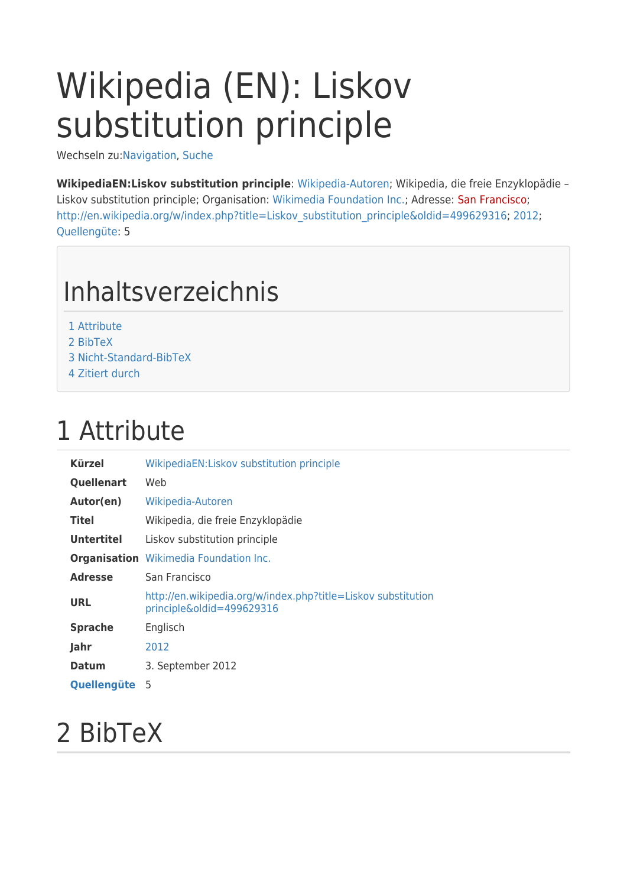# Wikipedia (EN): Liskov substitution principle

Wechseln zu:[Navigation,](#page--1-0) [Suche](#page--1-0)

**WikipediaEN:Liskov substitution principle**: [Wikipedia-Autoren;](http://glossar.hs-augsburg.de/Wikipedia-Autoren) Wikipedia, die freie Enzyklopädie – Liskov substitution principle; Organisation: [Wikimedia Foundation Inc.;](http://glossar.hs-augsburg.de/Wikimedia_Foundation_Inc.) Adresse: [San Francisco](http://glossar.hs-augsburg.de/w/index.php?title=San_Francisco&action=edit&redlink=1); [http://en.wikipedia.org/w/index.php?title=Liskov\\_substitution\\_principle&oldid=499629316](http://en.wikipedia.org/w/index.php?title=Liskov_substitution_principle&oldid=499629316); [2012;](http://glossar.hs-augsburg.de/2012) [Quellengüte:](http://glossar.hs-augsburg.de/GlossarWiki:Quelleng%C3%BCte) 5

## Inhaltsverzeichnis

- [1](#page--1-0) [Attribute](#page--1-0)
- [2](#page--1-0) [BibTeX](#page--1-0)
- [3](#page--1-0) [Nicht-Standard-BibTeX](#page--1-0)
- [4](#page--1-0) [Zitiert durch](#page--1-0)

### 1 Attribute

| Kürzel            | WikipediaEN:Liskov substitution principle                                                  |
|-------------------|--------------------------------------------------------------------------------------------|
| Quellenart        | Web                                                                                        |
| Autor(en)         | Wikipedia-Autoren                                                                          |
| <b>Titel</b>      | Wikipedia, die freie Enzyklopädie                                                          |
| <b>Untertitel</b> | Liskov substitution principle                                                              |
|                   | <b>Organisation</b> Wikimedia Foundation Inc.                                              |
| <b>Adresse</b>    | San Francisco                                                                              |
| <b>URL</b>        | http://en.wikipedia.org/w/index.php?title=Liskov substitution<br>principle&oldid=499629316 |
| <b>Sprache</b>    | Englisch                                                                                   |
| Jahr              | 2012                                                                                       |
| <b>Datum</b>      | 3. September 2012                                                                          |
| Quellengüte       | 5                                                                                          |

### 2 BibTeX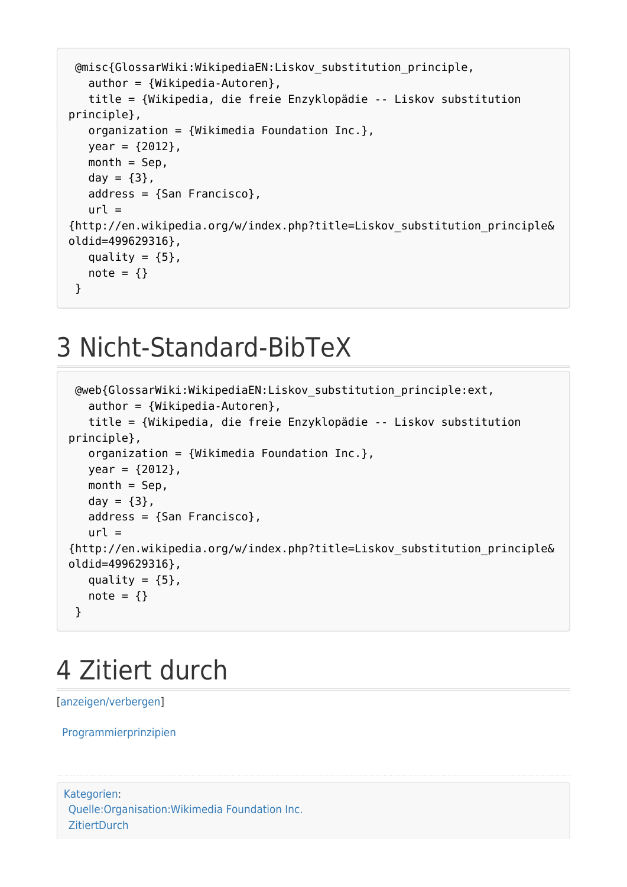```
 @misc{GlossarWiki:WikipediaEN:Liskov_substitution_principle,
  author = {Wikipedia-Autoren}, title = {Wikipedia, die freie Enzyklopädie -- Liskov substitution
principle},
   organization = {Wikimedia Foundation Inc.},
  year = {2012},
  month =Sep,
  day = {3},
   address = {San Francisco},
  url ={http://en.wikipedia.org/w/index.php?title=Liskov_substitution_principle&
oldid=499629316},
  quality = {5},
  note = \{\} }
```
#### 3 Nicht-Standard-BibTeX

```
 @web{GlossarWiki:WikipediaEN:Liskov_substitution_principle:ext,
  author = {Wikipedia-Autoren}, title = {Wikipedia, die freie Enzyklopädie -- Liskov substitution
principle},
   organization = {Wikimedia Foundation Inc.},
  year = {2012},
  month = Sep,
  day = {3},
   address = {San Francisco},
  url ={http://en.wikipedia.org/w/index.php?title=Liskov_substitution_principle&
oldid=499629316},
  quality = {5},
  note = \{\} }
```
### 4 Zitiert durch

[\[anzeigen/verbergen](#page--1-0)]

[Programmierprinzipien](http://glossar.hs-augsburg.de/Programmierprinzipien)

```
Kategorien:
Quelle:Organisation:Wikimedia Foundation Inc.
ZitiertDurch
```